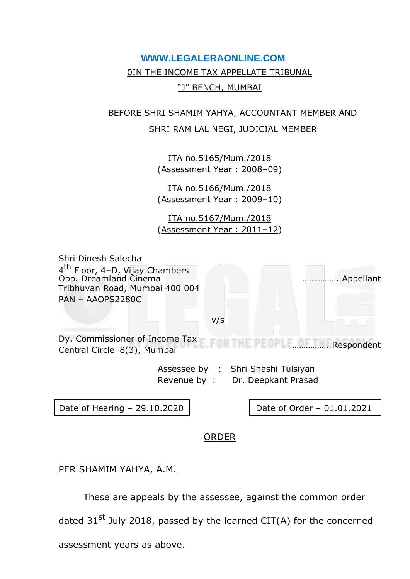## **WWW.LEGALERAONLINE.COM** 0IN THE INCOME TAX APPELLATE TRIBUNAL "J" BENCH, MUMBAI

## BEFORE SHRI SHAMIM YAHYA, ACCOUNTANT MEMBER AND SHRI RAM LAL NEGI, JUDICIAL MEMBER

ITA no.5165/Mum./2018 (Assessment Year : 2008–09)

ITA no.5166/Mum./2018 (Assessment Year : 2009–10)

ITA no.5167/Mum./2018 (Assessment Year : 2011–12)

Shri Dinesh Salecha 4<sup>th</sup> Floor, 4-D, Vijay Chambers Opp. Dreamland Cinema ……………. Appellant Tribhuvan Road, Mumbai 400 004 PAN – AAOPS2280C

#### v/s

Dy. Commissioner of Income Tax ……………. Respondent Central Circle–8(3), Mumbai

Assessee by : Shri Shashi Tulsiyan Revenue by : Dr. Deepkant Prasad

Date of Hearing - 29.10.2020 | Date of Order - 01.01.2021

### ORDER

### PER SHAMIM YAHYA, A.M.

These are appeals by the assessee, against the common order

dated  $31^{st}$  July 2018, passed by the learned CIT(A) for the concerned

assessment years as above.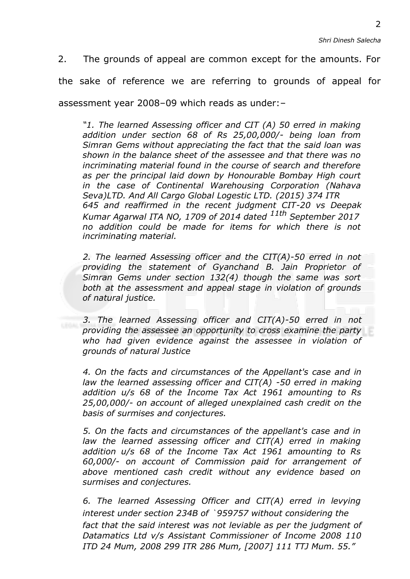2. The grounds of appeal are common except for the amounts. For the sake of reference we are referring to grounds of appeal for assessment year 2008–09 which reads as under:–

*"1. The learned Assessing officer and CIT (A) 50 erred in making addition under section 68 of Rs 25,00,000/- being loan from Simran Gems without appreciating the fact that the said loan was shown in the balance sheet of the assessee and that there was no incriminating material found in the course of search and therefore as per the principal laid down by Honourable Bombay High court in the case of Continental Warehousing Corporation (Nahava Seva)LTD. And All Cargo Global Logestic LTD. (2015) 374 ITR 645 and reaffirmed in the recent judgment CIT-20 vs Deepak Kumar Agarwal ITA NO, 1709 of 2014 dated 11th September 2017 no addition could be made for items for which there is not incriminating material.*

*2. The learned Assessing officer and the CIT(A)-50 erred in not providing the statement of Gyanchand B. Jain Proprietor of Simran Gems under section 132(4) though the same was sort both at the assessment and appeal stage in violation of grounds of natural justice.*

*3. The learned Assessing officer and CIT(A)-50 erred in not providing the assessee an opportunity to cross examine the party who had given evidence against the assessee in violation of grounds of natural Justice*

*4. On the facts and circumstances of the Appellant's case and in*  law the learned assessing officer and CIT(A) -50 erred in making *addition u/s 68 of the Income Tax Act 1961 amounting to Rs 25,00,000/- on account of alleged unexplained cash credit on the basis of surmises and conjectures.*

*5. On the facts and circumstances of the appellant's case and in*  law the learned assessing officer and CIT(A) erred in making *addition u/s 68 of the Income Tax Act 1961 amounting to Rs 60,000/- on account of Commission paid for arrangement of above mentioned cash credit without any evidence based on surmises and conjectures.*

*6. The learned Assessing Officer and CIT(A) erred in levying interest under section 234B of* ` *959757 without considering the fact that the said interest was not leviable as per the judgment of Datamatics Ltd v/s Assistant Commissioner of Income 2008 110 ITD 24 Mum, 2008 299 ITR 286 Mum, [2007] 111 TTJ Mum. 55."*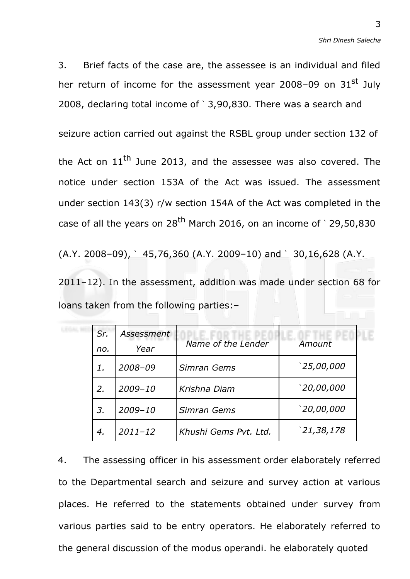3. Brief facts of the case are, the assessee is an individual and filed her return of income for the assessment year 2008-09 on 31st July 2008, declaring total income of ` 3,90,830. There was a search and

seizure action carried out against the RSBL group under section 132 of

the Act on  $11<sup>th</sup>$  June 2013, and the assessee was also covered. The notice under section 153A of the Act was issued. The assessment under section 143(3) r/w section 154A of the Act was completed in the case of all the years on  $28<sup>th</sup>$  March 2016, on an income of `29,50,830

 $(A.Y. 2008-09)$ ,  $\hat{ } 45,76,360$  (A.Y. 2009-10) and  $\hat{ } 30,16,628$  (A.Y.

2011–12). In the assessment, addition was made under section 68 for loans taken from the following parties:–

| Sr. | Assessment  |                       |             |
|-----|-------------|-----------------------|-------------|
| no. | Year        | Name of the Lender    | Amount      |
| 1.  | $2008 - 09$ | Simran Gems           | 25,00,000   |
| 2.  | $2009 - 10$ | Krishna Diam          | '20,00,000  |
| 3.  | $2009 - 10$ | Simran Gems           | 20,00,000 ` |
| 4.  | $2011 - 12$ | Khushi Gems Pvt. Ltd. | '21,38,178  |

4. The assessing officer in his assessment order elaborately referred to the Departmental search and seizure and survey action at various places. He referred to the statements obtained under survey from various parties said to be entry operators. He elaborately referred to the general discussion of the modus operandi. he elaborately quoted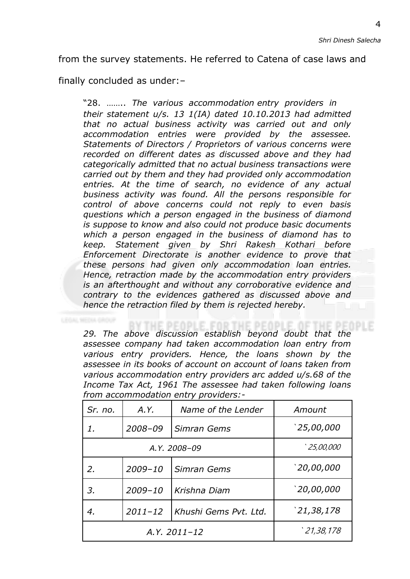from the survey statements. He referred to Catena of case laws and

finally concluded as under:–

"28. …….. *The various accommodation entry providers in their statement u/s. 13 1(IA) dated 10.10.2013 had admitted that no actual business activity was carried out and only accommodation entries were provided by the assessee. Statements of Directors / Proprietors of various concerns were recorded on different dates as discussed above and they had categorically admitted that no actual business transactions were carried out by them and they had provided only accommodation entries. At the time of search, no evidence of any actual business activity was found. All the persons responsible for control of above concerns could not reply to even basis questions which a person engaged in the business of diamond is suppose to know and also could not produce basic documents which a person engaged in the business of diamond has to keep. Statement given by Shri Rakesh Kothari before Enforcement Directorate is another evidence to prove that these persons had given only accommodation loan entries. Hence, retraction made by the accommodation entry providers is an afterthought and without any corroborative evidence and contrary to the evidences gathered as discussed above and hence the retraction filed by them is rejected hereby.*

*29. The above discussion establish beyond doubt that the assessee company had taken accommodation loan entry from various entry providers. Hence, the loans shown by the assessee in its books of account on account of loans taken from various accommodation entry providers arc added u/s.68 of the Income Tax Act, 1961 The assessee had taken following loans from accommodation entry providers:-*

| Sr. no.                           | A.Y.             | Name of the Lender    | Amount     |
|-----------------------------------|------------------|-----------------------|------------|
| $\mathcal I$ .                    | 2008-09          | Simran Gems           | 25,00,000  |
|                                   | A.Y. 2008-09     | 25,00,000 $^{\circ}$  |            |
| 2.                                | $2009 - 10$      | Simran Gems           | 20,00,000  |
| $2009 - 10$<br>Krishna Diam<br>3. |                  | 20,00,000 $^{\circ}$  |            |
| 4.                                | $2011 - 12$      | Khushi Gems Pvt. Ltd. | 21,38,178` |
|                                   | $A.Y. 2011 - 12$ | 21,38,178             |            |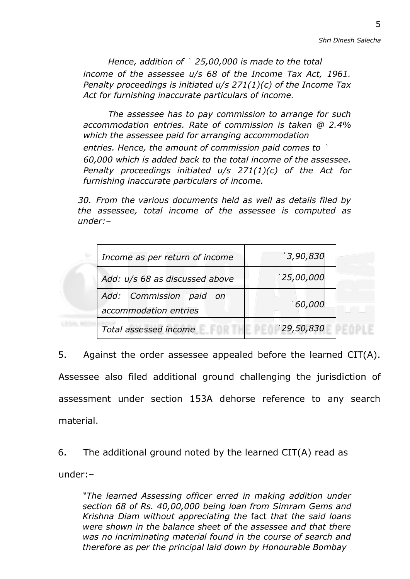*Hence, addition of* ` *25,00,000 is made to the total income of the assessee u/s 68 of the Income Tax Act, 1961. Penalty proceedings is initiated u/s 271(1)(c) of the Income Tax Act for furnishing inaccurate particulars of income.*

*The assessee has to pay commission to arrange for such accommodation entries. Rate of commission is taken @ 2.4% which the assessee paid for arranging accommodation entries. Hence, the amount of commission paid comes to* ` *60,000 which is added back to the total income of the assessee. Penalty proceedings initiated u/s 271(1)(c) of the Act for furnishing inaccurate particulars of income.*

*30. From the various documents held as well as details filed by the assessee, total income of the assessee is computed as under:–*

| Income as per return of income                   | `3,90,830  |  |
|--------------------------------------------------|------------|--|
| Add: u/s 68 as discussed above                   | '25,00,000 |  |
| Add: Commission paid on<br>accommodation entries | 60,000 `   |  |
| Total assessed income                            | '29,50,830 |  |

5. Against the order assessee appealed before the learned CIT(A). Assessee also filed additional ground challenging the jurisdiction of assessment under section 153A dehorse reference to any search material.

6. The additional ground noted by the learned CIT(A) read as under:–

*"The learned Assessing officer erred in making addition under section 68 of Rs. 40,00,000 being loan from Simram Gems and Krishna Diam without appreciating the* fact *that the said loans were shown in the balance sheet of the assessee and that there was no incriminating material found in the course of search and therefore as per the principal laid down by Honourable Bombay*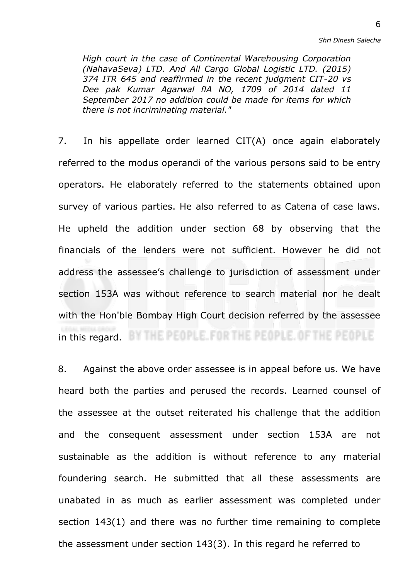*Shri Dinesh Salecha*

*High court in the case of Continental Warehousing Corporation (NahavaSeva) LTD. And All Cargo Global Logistic LTD. (2015) 374 ITR 645 and reaffirmed in the recent judgment CIT-20 vs Dee pak Kumar Agarwal flA NO, 1709 of 2014 dated 11 September 2017 no addition could be made for items for which there is not incriminating material."*

7. In his appellate order learned CIT(A) once again elaborately referred to the modus operandi of the various persons said to be entry operators. He elaborately referred to the statements obtained upon survey of various parties. He also referred to as Catena of case laws. He upheld the addition under section 68 by observing that the financials of the lenders were not sufficient. However he did not address the assessee's challenge to jurisdiction of assessment under section 153A was without reference to search material nor he dealt with the Hon'ble Bombay High Court decision referred by the assessee in this regard. BY THE PEOPLE. FOR THE PEOPLE. OF THE PEOPLE

8. Against the above order assessee is in appeal before us. We have heard both the parties and perused the records. Learned counsel of the assessee at the outset reiterated his challenge that the addition and the consequent assessment under section 153A are not sustainable as the addition is without reference to any material foundering search. He submitted that all these assessments are unabated in as much as earlier assessment was completed under section 143(1) and there was no further time remaining to complete the assessment under section 143(3). In this regard he referred to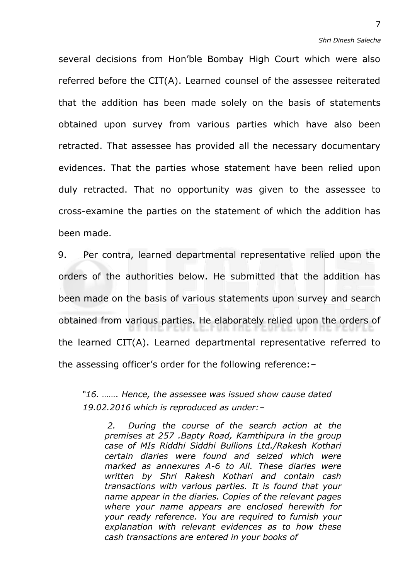several decisions from Hon'ble Bombay High Court which were also referred before the CIT(A). Learned counsel of the assessee reiterated that the addition has been made solely on the basis of statements obtained upon survey from various parties which have also been retracted. That assessee has provided all the necessary documentary evidences. That the parties whose statement have been relied upon duly retracted. That no opportunity was given to the assessee to cross-examine the parties on the statement of which the addition has been made.

9. Per contra, learned departmental representative relied upon the orders of the authorities below. He submitted that the addition has been made on the basis of various statements upon survey and search obtained from various parties. He elaborately relied upon the orders of the learned CIT(A). Learned departmental representative referred to the assessing officer's order for the following reference:–

*"16. ……. Hence, the assessee was issued show cause dated 19.02.2016 which is reproduced as under:–*

*2. During the course of the search action at the premises at 257 .Bapty Road, Kamthipura in the group case of MIs Riddhi Siddhi Bullions Ltd./Rakesh Kothari certain diaries were found and seized which were marked as annexures A-6 to All. These diaries were written by Shri Rakesh Kothari and contain cash transactions with various parties. It is found that your name appear in the diaries. Copies of the relevant pages where your name appears are enclosed herewith for your ready reference. You are required to furnish your explanation with relevant evidences as to how these cash transactions are entered in your books of*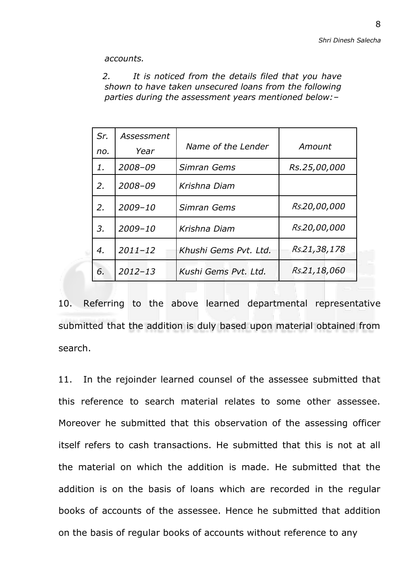*accounts.*

*2. It is noticed from the details filed that you have shown to have taken unsecured loans from the following parties during the assessment years mentioned below:–*

| Sr. | Assessment  |                       |              |
|-----|-------------|-----------------------|--------------|
| no. | Year        | Name of the Lender    | Amount       |
| 1.  | $2008 - 09$ | Simran Gems           | Rs.25,00,000 |
| 2.  | $2008 - 09$ | Krishna Diam          |              |
| 2.  | $2009 - 10$ | Simran Gems           | Rs.20,00,000 |
| 3.  | $2009 - 10$ | Krishna Diam          | Rs.20,00,000 |
| 4.  | $2011 - 12$ | Khushi Gems Pvt. Ltd. | Rs.21,38,178 |
| 6.  | $2012 - 13$ | Kushi Gems Pvt. Ltd.  | Rs.21,18,060 |

10. Referring to the above learned departmental representative submitted that the addition is duly based upon material obtained from search.

11. In the rejoinder learned counsel of the assessee submitted that this reference to search material relates to some other assessee. Moreover he submitted that this observation of the assessing officer itself refers to cash transactions. He submitted that this is not at all the material on which the addition is made. He submitted that the addition is on the basis of loans which are recorded in the regular books of accounts of the assessee. Hence he submitted that addition on the basis of regular books of accounts without reference to any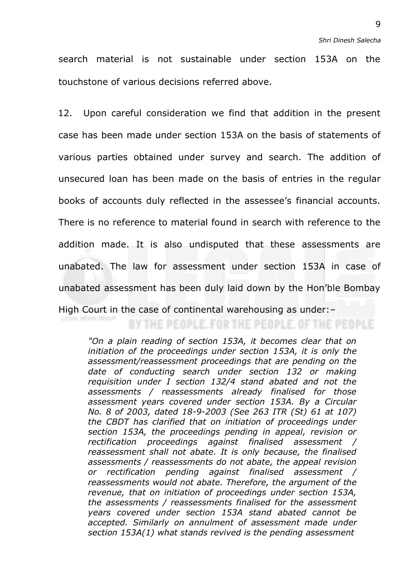search material is not sustainable under section 153A on the touchstone of various decisions referred above.

12. Upon careful consideration we find that addition in the present case has been made under section 153A on the basis of statements of various parties obtained under survey and search. The addition of unsecured loan has been made on the basis of entries in the regular books of accounts duly reflected in the assessee's financial accounts. There is no reference to material found in search with reference to the addition made. It is also undisputed that these assessments are unabated. The law for assessment under section 153A in case of unabated assessment has been duly laid down by the Hon'ble Bombay High Court in the case of continental warehousing as under:–

# BY THE PEOPLE. FOR THE PEOPLE. OF THE PEOPLE

*"On a plain reading of section 153A, it becomes clear that on initiation of the proceedings under section 153A, it is only the assessment/reassessment proceedings that are pending on the date of conducting search under section 132 or making requisition under I section 132/4 stand abated and not the assessments / reassessments already finalised for those assessment years covered under section 153A. By a Circular No. 8 of 2003, dated 18-9-2003 (See 263 ITR (St) 61 at 107) the CBDT has clarified that on initiation of proceedings under section 153A, the proceedings pending in appeal, revision or rectification proceedings against finalised assessment / reassessment shall not abate. It is only because, the finalised assessments / reassessments do not abate, the appeal revision or rectification pending against finalised assessment / reassessments would not abate. Therefore, the argument of the revenue, that on initiation of proceedings under section 153A, the assessments / reassessments finalised for the assessment years covered under section 153A stand abated cannot be accepted. Similarly on annulment of assessment made under section 153A(1) what stands revived is the pending assessment*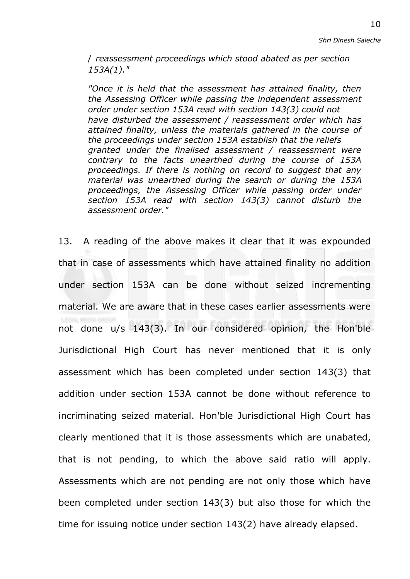/ *reassessment proceedings which stood abated as per section 153A(1)."*

*"Once it is held that the assessment has attained finality, then the Assessing Officer while passing the independent assessment order under section 153A read with section 143(3) could not have disturbed the assessment / reassessment order which has attained finality, unless the materials gathered in the course of the proceedings under section 153A establish that the reliefs granted under the finalised assessment / reassessment were contrary to the facts unearthed during the course of 153A proceedings. If there is nothing on record to suggest that any material was unearthed during the search or during the 153A proceedings, the Assessing Officer while passing order under section 153A read with section 143(3) cannot disturb the assessment order."*

13. A reading of the above makes it clear that it was expounded that in case of assessments which have attained finality no addition under section 153A can be done without seized incrementing material. We are aware that in these cases earlier assessments were not done u/s 143(3). In our considered opinion, the Hon'ble Jurisdictional High Court has never mentioned that it is only assessment which has been completed under section 143(3) that addition under section 153A cannot be done without reference to incriminating seized material. Hon'ble Jurisdictional High Court has clearly mentioned that it is those assessments which are unabated, that is not pending, to which the above said ratio will apply. Assessments which are not pending are not only those which have been completed under section 143(3) but also those for which the time for issuing notice under section 143(2) have already elapsed.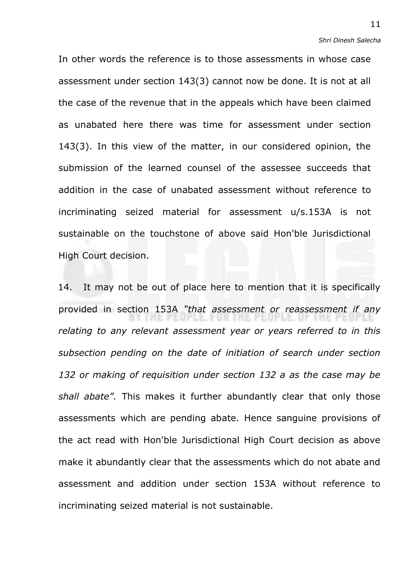In other words the reference is to those assessments in whose case assessment under section 143(3) cannot now be done. It is not at all the case of the revenue that in the appeals which have been claimed as unabated here there was time for assessment under section 143(3). In this view of the matter, in our considered opinion, the submission of the learned counsel of the assessee succeeds that addition in the case of unabated assessment without reference to incriminating seized material for assessment u/s.153A is not sustainable on the touchstone of above said Hon'ble Jurisdictional High Court decision.

14. It may not be out of place here to mention that it is specifically provided in section 153A *"that assessment or reassessment if any relating to any relevant assessment year or years referred to in this subsection pending on the date of initiation of search under section 132 or making of requisition under section 132 a as the case may be shall abate".* This makes it further abundantly clear that only those assessments which are pending abate. Hence sanguine provisions of the act read with Hon'ble Jurisdictional High Court decision as above make it abundantly clear that the assessments which do not abate and assessment and addition under section 153A without reference to incriminating seized material is not sustainable.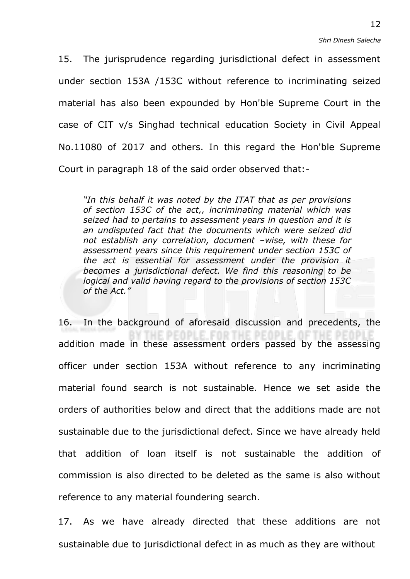15. The jurisprudence regarding jurisdictional defect in assessment under section 153A /153C without reference to incriminating seized material has also been expounded by Hon'ble Supreme Court in the case of CIT v/s Singhad technical education Society in Civil Appeal No.11080 of 2017 and others. In this regard the Hon'ble Supreme Court in paragraph 18 of the said order observed that:-

*"In this behalf it was noted by the ITAT that as per provisions of section 153C of the act,, incriminating material which was seized had to pertains to assessment years in question and it is an undisputed fact that the documents which were seized did not establish any correlation, document –wise, with these for assessment years since this requirement under section 153C of the act is essential for assessment under the provision it becomes a jurisdictional defect. We find this reasoning to be logical and valid having regard to the provisions of section 153C of the Act."*

16. In the background of aforesaid discussion and precedents, the FOR THE PEOP addition made in these assessment orders passed by the assessing officer under section 153A without reference to any incriminating material found search is not sustainable. Hence we set aside the orders of authorities below and direct that the additions made are not sustainable due to the jurisdictional defect. Since we have already held that addition of loan itself is not sustainable the addition of commission is also directed to be deleted as the same is also without reference to any material foundering search.

17. As we have already directed that these additions are not sustainable due to jurisdictional defect in as much as they are without